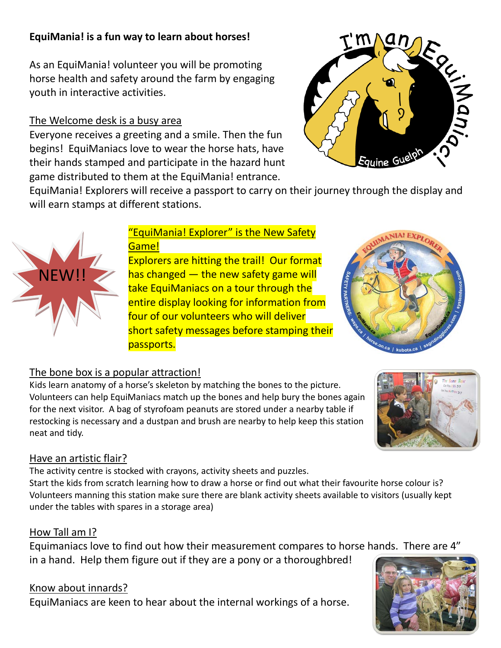# **EquiMania! is a fun way to learn about horses!**

As an EquiMania! volunteer you will be promoting horse health and safety around the farm by engaging youth in interactive activities.

#### The Welcome desk is a busy area

Everyone receives a greeting and a smile. Then the fun begins! EquiManiacs love to wear the horse hats, have their hands stamped and participate in the hazard hunt game distributed to them at the EquiMania! entrance.



EquiMania! Explorers will receive a passport to carry on their journey through the display and will earn stamps at different stations.



#### "EquiMania! Explorer" is the New Safety Game!

Explorers are hitting the trail! Our format has changed  $-$  the new safety game will take EquiManiacs on a tour through the entire display looking for information from four of our volunteers who will deliver short safety messages before stamping their passports.



## The bone box is a popular attraction!

Kids learn anatomy of a horse's skeleton by matching the bones to the picture. Volunteers can help EquiManiacs match up the bones and help bury the bones again for the next visitor. A bag of styrofoam peanuts are stored under a nearby table if restocking is necessary and a dustpan and brush are nearby to help keep this station neat and tidy.



#### Have an artistic flair?

The activity centre is stocked with crayons, activity sheets and puzzles.

Start the kids from scratch learning how to draw a horse or find out what their favourite horse colour is? Volunteers manning this station make sure there are blank activity sheets available to visitors (usually kept under the tables with spares in a storage area)

#### How Tall am I?

Equimaniacs love to find out how their measurement compares to horse hands. There are 4" in a hand. Help them figure out if they are a pony or a thoroughbred!

#### Know about innards?

EquiManiacs are keen to hear about the internal workings of a horse.